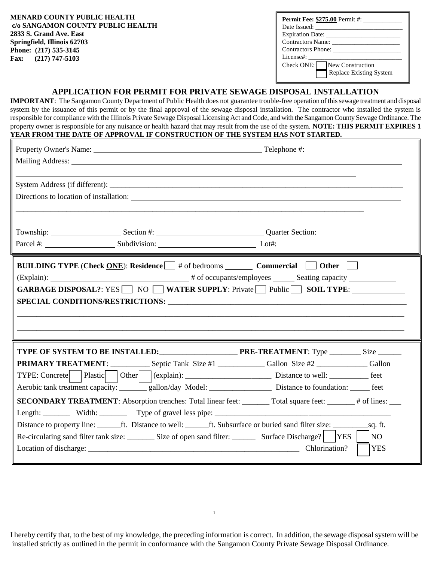| <b>MENARD COUNTY PUBLIC HEALTH</b><br>c/o SANGAMON COUNTY PUBLIC HEALTH<br>2833 S. Grand Ave. East | <b>Permit Fee: \$275.00 Permit #:</b><br>Date Issued:<br><b>Expiration Date:</b> |
|----------------------------------------------------------------------------------------------------|----------------------------------------------------------------------------------|
| Springfield, Illinois 62703                                                                        | Contractors Name:                                                                |
| Phone: (217) 535-3145                                                                              | Contractors Phone:                                                               |
| $(217)$ 747-5103<br><b>Fax:</b>                                                                    | License#:                                                                        |
|                                                                                                    | Check ONE:<br>New Construction                                                   |
|                                                                                                    | Replace Existing System                                                          |

#### **APPLICATION FOR PERMIT FOR PRIVATE SEWAGE DISPOSAL INSTALLATION**

**IMPORTANT**: The Sangamon County Department of Public Health does not guarantee trouble-free operation of this sewage treatment and disposal system by the issuance of this permit or by the final approval of the sewage disposal installation. The contractor who installed the system is responsible for compliance with the Illinois Private Sewage Disposal Licensing Act and Code, and with the Sangamon County Sewage Ordinance. The property owner is responsible for any nuisance or health hazard that may result from the use of the system. **NOTE: THIS PERMIT EXPIRES 1 YEAR FROM THE DATE OF APPROVAL IF CONSTRUCTION OF THE SYSTEM HAS NOT STARTED.**

| System Address (if different): Note that the system of the system Address (if different):<br>Directions to location of installation:                                                                                                                                                                                                                                                                                                                                                       |                                                                                                                                                                                   |
|--------------------------------------------------------------------------------------------------------------------------------------------------------------------------------------------------------------------------------------------------------------------------------------------------------------------------------------------------------------------------------------------------------------------------------------------------------------------------------------------|-----------------------------------------------------------------------------------------------------------------------------------------------------------------------------------|
| Parcel #: Lot#: Subdivision: Lot#:                                                                                                                                                                                                                                                                                                                                                                                                                                                         |                                                                                                                                                                                   |
| <b>BUILDING TYPE (Check ONE):</b> Residence $\Box$ # of bedrooms <b>Commercial <math>\Box</math> Other</b>                                                                                                                                                                                                                                                                                                                                                                                 | GARBAGE DISPOSAL?: YES $\Box$ NO $\Box$ WATER SUPPLY: Private $\Box$ Public $\Box$ SOIL TYPE:<br>,我们也不会不会不会不会不会不会不会不会不会不会不会不会不会不会不会。""我们的是我们的,我们也不会不会不会不会不会不会不会。""我们的是我们的,我们也不会不会 |
| <b>PRIMARY TREATMENT:</b> ______________ Septic Tank Size #1 ________________Gallon Size #2 _______________Gallon<br>TYPE: Concrete   Plastic   Other   (explain): ___________________________________ Distance to well: __________________ feet<br>Aerobic tank treatment capacity: _______gallon/day Model: ______________________ Distance to foundation: ______ feet<br>Length: Width: Width: Type of gravel less pipe: 2000 March 2010 March 2010 March 2010 March 2010 March 2010 Ma | <b>SECONDARY TREATMENT:</b> Absorption trenches: Total linear feet: _______ Total square feet: ______ # of lines: ___                                                             |
| Re-circulating sand filter tank size: __________ Size of open sand filter: ___________ Surface Discharge?    YES                                                                                                                                                                                                                                                                                                                                                                           | NO<br><b>YES</b><br>Chlorination?                                                                                                                                                 |

I hereby certify that, to the best of my knowledge, the preceding information is correct. In addition, the sewage disposal system will be installed strictly as outlined in the permit in conformance with the Sangamon County Private Sewage Disposal Ordinance.

1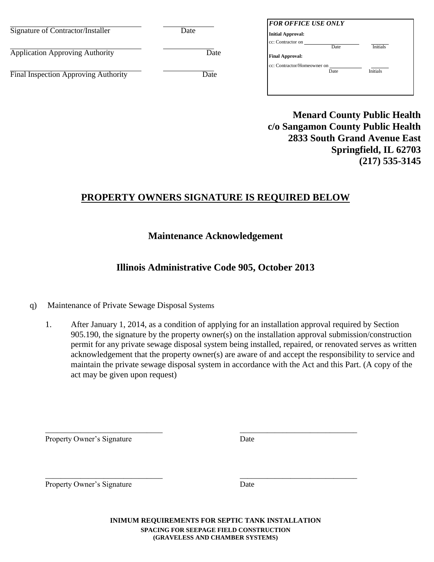| Signature of Contractor/Installer      | Date | <b>FOR OFFICE USE ONLY</b><br><b>Initial Approval:</b>                 |
|----------------------------------------|------|------------------------------------------------------------------------|
| <b>Application Approving Authority</b> | Date | cc: Contractor on<br><b>Initials</b><br>Date<br><b>Final Approval:</b> |
| Final Inspection Approving Authority   | Date | cc: Contractor/Homeowner on<br>Initials<br>Date                        |
|                                        |      |                                                                        |

**Menard County Public Health c/o Sangamon County Public Health 2833 South Grand Avenue East Springfield, IL 62703 (217) 535-3145** 

# **PROPERTY OWNERS SIGNATURE IS REQUIRED BELOW**

# **Maintenance Acknowledgement**

# **Illinois Administrative Code 905, October 2013**

## q) Maintenance of Private Sewage Disposal Systems

1. After January 1, 2014, as a condition of applying for an installation approval required by Section 905.190, the signature by the property owner(s) on the installation approval submission/construction permit for any private sewage disposal system being installed, repaired, or renovated serves as written acknowledgement that the property owner(s) are aware of and accept the responsibility to service and maintain the private sewage disposal system in accordance with the Act and this Part. (A copy of the act may be given upon request)

Property Owner's Signature Date

Property Owner's Signature Date

**INIMUM REQUIREMENTS FOR SEPTIC TANK INSTALLATION SPACING FOR SEEPAGE FIELD CONSTRUCTION (GRAVELESS AND CHAMBER SYSTEMS)** 

\_\_\_\_\_\_\_\_\_\_\_\_\_\_\_\_\_\_\_\_\_\_\_\_\_\_\_\_\_\_ \_\_\_\_\_\_\_\_\_\_\_\_\_\_\_\_\_\_\_\_\_\_\_\_\_\_\_\_\_\_

\_\_\_\_\_\_\_\_\_\_\_\_\_\_\_\_\_\_\_\_\_\_\_\_\_\_\_\_\_\_ \_\_\_\_\_\_\_\_\_\_\_\_\_\_\_\_\_\_\_\_\_\_\_\_\_\_\_\_\_\_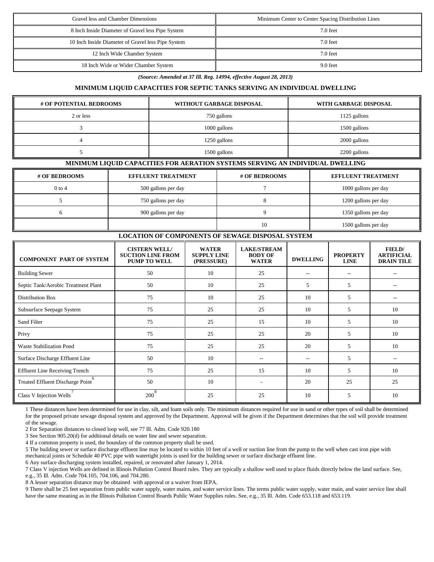| Gravel less and Chamber Dimensions                 | Minimum Center to Center Spacing Distribution Lines |  |
|----------------------------------------------------|-----------------------------------------------------|--|
| 8 Inch Inside Diameter of Gravel less Pipe System  | 7.0 feet                                            |  |
| 10 Inch Inside Diameter of Gravel less Pipe System | 7.0 feet                                            |  |
| 12 Inch Wide Chamber System                        | 7.0 feet                                            |  |
| 18 Inch Wide or Wider Chamber System               | 9.0 feet                                            |  |

*(Source: Amended at 37 Ill. Reg. 14994, effective August 28, 2013)* 

#### **MINIMUM LIQUID CAPACITIES FOR SEPTIC TANKS SERVING AN INDIVIDUAL DWELLING**

| # OF POTENTIAL BEDROOMS | WITHOUT GARBAGE DISPOSAL | WITH GARBAGE DISPOSAL |  |  |
|-------------------------|--------------------------|-----------------------|--|--|
| 2 or less               | 750 gallons              | 1125 gallons          |  |  |
|                         | 1000 gallons             | 1500 gallons          |  |  |
|                         | 1250 gallons             | 2000 gallons          |  |  |
|                         | 1500 gallons             | 2200 gallons          |  |  |

#### **MINIMUM LIQUID CAPACITIES FOR AERATION SYSTEMS SERVING AN INDIVIDUAL DWELLING**

| # OF BEDROOMS | <b>EFFLUENT TREATMENT</b> | # OF BEDROOMS | <b>EFFLUENT TREATMENT</b> |
|---------------|---------------------------|---------------|---------------------------|
| $0$ to 4      | 500 gallons per day       |               | 1000 gallons per day      |
|               | 750 gallons per day       |               | 1200 gallons per day      |
|               | 900 gallons per day       |               | 1350 gallons per day      |
|               |                           | 10            | 1500 gallons per day      |

#### **LOCATION OF COMPONENTS OF SEWAGE DISPOSAL SYSTEM**

| <b>COMPONENT PART OF SYSTEM</b>       | <b>CISTERN WELL/</b><br><b>SUCTION LINE FROM</b><br><b>PUMP TO WELL</b> | <b>WATER</b><br><b>SUPPLY LINE</b><br>(PRESSURE) | <b>LAKE/STREAM</b><br><b>BODY OF</b><br><b>WATER</b> | <b>DWELLING</b> | <b>PROPERTY</b><br><b>LINE</b> | FIELD/<br><b>ARTIFICIAL</b><br><b>DRAIN TILE</b> |
|---------------------------------------|-------------------------------------------------------------------------|--------------------------------------------------|------------------------------------------------------|-----------------|--------------------------------|--------------------------------------------------|
| <b>Building Sewer</b>                 | 50                                                                      | 10                                               | 25                                                   | $- -$           | $- -$                          |                                                  |
| Septic Tank/Aerobic Treatment Plant   | 50                                                                      | 10                                               | 25                                                   | 5               | 5                              |                                                  |
| Distribution Box                      | 75                                                                      | 10                                               | 25                                                   | 10              | 5                              |                                                  |
| Subsurface Seepage System             | 75                                                                      | 25                                               | 25                                                   | 10              | 5                              | 10                                               |
| Sand Filter                           | 75                                                                      | 25                                               | 15                                                   | 10              | 5                              | 10                                               |
| Privy                                 | 75                                                                      | 25                                               | 25                                                   | 20              | 5                              | 10                                               |
| <b>Waste Stabilization Pond</b>       | 75                                                                      | 25                                               | 25                                                   | 20              | 5                              | 10                                               |
| Surface Discharge Effluent Line       | 50                                                                      | 10                                               | $-$                                                  | $-$             | 5                              | --                                               |
| <b>Effluent Line Receiving Trench</b> | 75                                                                      | 25                                               | 15                                                   | 10              | 5                              | 10                                               |
| Treated Effluent Discharge Point      | 50                                                                      | 10                                               |                                                      | 20              | 25                             | 25                                               |
| Class V Injection Wells               | 8<br>200                                                                | 25                                               | 25                                                   | 10              | 5                              | 10                                               |

1 These distances have been determined for use in clay, silt, and loam soils only. The minimum distances required for use in sand or other types of soil shall be determined for the proposed private sewage disposal system and approved by the Department. Approval will be given if the Department determines that the soil will provide treatment of the sewage.

2 For Separation distances to closed loop well, see 77 Ill. Adm. Code 920.180

3 See Section 905.20(d) for additional details on water line and sewer separation.

4 If a common property is used, the boundary of the common property shall be used.

5 The building sewer or surface discharge effluent line may be located to within 10 feet of a well or suction line from the pump to the well when cast iron pipe with mechanical joints or Schedule 40 PVC pipe with watertight joints is used for the building sewer or surface discharge effluent line.

6 Any surface discharging system installed, repaired, or renovated after January 1, 2014.

7 Class V injection Wells are defined in Illinois Pollution Control Board rules. They are typically a shallow well used to place fluids directly below the land surface. See, e.g., 35 Ill. Adm. Code 704.105, 704.106, and 704.280.

8 A lesser separation distance may be obtained with approval or a waiver from IEPA.

9 There shall be 25 feet separation from public water supply, water mains, and water service lines. The terms public water supply, water main, and water service line shall have the same meaning as in the Illinois Pollution Control Boards Public Water Supplies rules. See, e.g., 35 Ill. Adm. Code 653.118 and 653.119.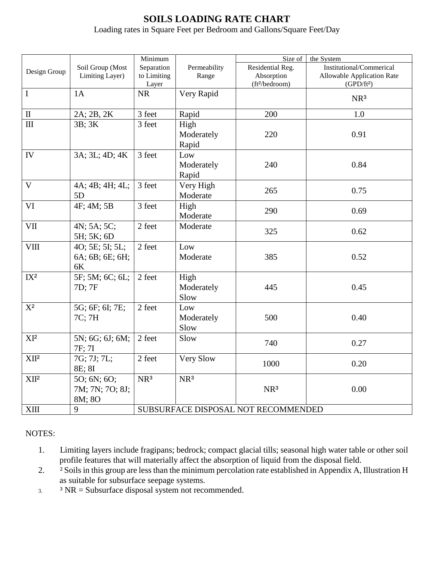# **SOILS LOADING RATE CHART**

Loading rates in Square Feet per Bedroom and Gallons/Square Feet/Day

|                             |                                          | Minimum                             |                             | Size of<br>the System                                        |                                                                                         |  |
|-----------------------------|------------------------------------------|-------------------------------------|-----------------------------|--------------------------------------------------------------|-----------------------------------------------------------------------------------------|--|
| Design Group                | Soil Group (Most<br>Limiting Layer)      | Separation<br>to Limiting<br>Layer  | Permeability<br>Range       | Residential Reg.<br>Absorption<br>(ft <sup>2</sup> /bedroom) | Institutional/Commerical<br><b>Allowable Application Rate</b><br>(GPD/ft <sup>2</sup> ) |  |
| $\mathbf I$                 | 1A                                       | <b>NR</b>                           | Very Rapid                  |                                                              | NR <sup>3</sup>                                                                         |  |
| $\rm II$                    | 2A; 2B, 2K                               | 3 feet                              | Rapid                       | 200                                                          | $1.0\,$                                                                                 |  |
| $\mathop{\rm III}\nolimits$ | 3B; 3K                                   | 3 feet                              | High<br>Moderately<br>Rapid | 220                                                          | 0.91                                                                                    |  |
| ${\rm IV}$                  | 3A; 3L; 4D; 4K                           | 3 feet                              | Low<br>Moderately<br>Rapid  | 240                                                          | 0.84                                                                                    |  |
| $\mathbf{V}$                | 4A; 4B; 4H; 4L;<br>5D                    | 3 feet                              | Very High<br>Moderate       | 265                                                          | 0.75                                                                                    |  |
| VI                          | 4F; 4M; 5B                               | 3 feet                              | High<br>Moderate            | 290                                                          | 0.69                                                                                    |  |
| VII                         | 4N; 5A; 5C;<br>5H; 5K; 6D                | 2 feet                              | Moderate                    | 325                                                          | 0.62                                                                                    |  |
| <b>VIII</b>                 | 40; 5E; 5I; 5L;<br>6A; 6B; 6E; 6H;<br>6K | 2 feet                              | Low<br>Moderate             | 385                                                          | 0.52                                                                                    |  |
| IX <sup>2</sup>             | 5F; 5M; 6C; 6L;<br>7D; 7F                | 2 feet                              | High<br>Moderately<br>Slow  | 445                                                          | 0.45                                                                                    |  |
| $X^2$                       | 5G; 6F; 6I; 7E;<br>7C; 7H                | 2 feet                              | Low<br>Moderately<br>Slow   | 500                                                          | 0.40                                                                                    |  |
| XI <sup>2</sup>             | 5N; 6G; 6J; 6M;<br>7F; 7I                | 2 feet                              | Slow                        | 740                                                          | 0.27                                                                                    |  |
| XII <sup>2</sup>            | 7G; 7J; 7L;<br>8E; 8I                    | 2 feet                              | <b>Very Slow</b>            | 1000                                                         | 0.20                                                                                    |  |
| XII <sup>2</sup>            | 50; 6N; 60;<br>7M; 7N; 7O; 8J;<br>8M; 8O | NR <sup>3</sup>                     | NR <sup>3</sup>             | NR <sup>3</sup>                                              | 0.00                                                                                    |  |
| <b>XIII</b>                 | 9                                        | SUBSURFACE DISPOSAL NOT RECOMMENDED |                             |                                                              |                                                                                         |  |

NOTES:

- 1. Limiting layers include fragipans; bedrock; compact glacial tills; seasonal high water table or other soil profile features that will materially affect the absorption of liquid from the disposal field.
- <sup>2</sup> Soils in this group are less than the minimum percolation rate established in Appendix A, Illustration H as suitable for subsurface seepage systems.
- $3.$   $3 \text{ NR} =$  Subsurface disposal system not recommended.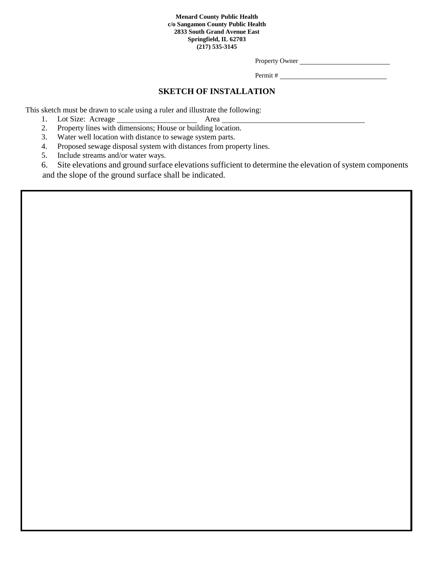Property Owner

Permit #

## **SKETCH OF INSTALLATION**

This sketch must be drawn to scale using a ruler and illustrate the following:

- 1. Lot Size: Acreage Area
- 2. Property lines with dimensions; House or building location.
- 3. Water well location with distance to sewage system parts.
- 4. Proposed sewage disposal system with distances from property lines.
- 5. Include streams and/or water ways.
- 6. Site elevations and ground surface elevations sufficient to determine the elevation of system components and the slope of the ground surface shall be indicated.